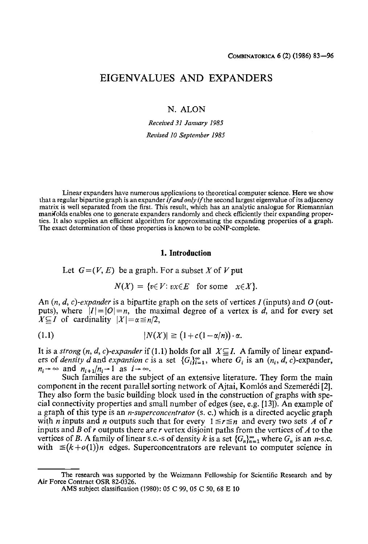# EIGENVALUES AND EXPANDERS

N. ALON

*Received 31 January 1985 Revised 10 September 1985* 

Linear expanders have numerous applications to theoretical computer science. Here we show that a regular bipartite graph is an expander *ifandonly* if the second largest eigenvalue of its adjacency matrix is well separated from the first. This result, which has an analytic analogue for Riemannian manifolds enables one to generate expanders randomly and check efficiently their expanding properties. It also supplies an efficient algorithm for approximating the expanding properties of a graph. The exact determination of these properties is known to be coNP-complete.

#### **1. Introduction**

Let  $G = (V, E)$  be a graph. For a subset X of V put

$$
N(X) = \{v \in V : vx \in E \text{ for some } x \in X\}.
$$

An (n, *d, c)-expander* is a bipartite graph on the sets of vertices 1 (inputs) and O (outputs), where  $|I|=|O|=n$ , the maximal degree of a vertex is d, and for every set  $X \subseteq I$  of cardinality  $|X| = \alpha \leq n/2$ ,

$$
(1.1) \t\t\t |N(X)| \geq (1 + c(1 - \alpha/n)) \cdot \alpha.
$$

It is a *strong*  $(n, d, c)$ -expander if (1.1) holds for all  $X \subseteq I$ . A family of linear expanders of *density d* and *expansion c* is a set  ${G_i}_{i=1}^{\infty}$ , where  $G_i$  is an  $(n_i, d, c)$ -expander,  $n_i \rightarrow \infty$  and  $n_{i+1}/n_i \rightarrow 1$  as  $i \rightarrow \infty$ .

Such families are the subject of an extensive literature. They form the main component in the recent parallel sorting network of Ajtai, Komlós and Szemerédi [2]. They also form the basic building block used in the construction of graphs with special connectivity properties and small number of edges (see, e.g. [13]). An example of a graph of this type is an *n-superconcentrator* (s. c.) which is a directed acyclic graph with *n* inputs and *n* outputs such that for every  $1 \le r \le n$  and every two sets *A* of *r* inputs and B of  $r$  outputs there are  $r$  vertex disjoint paths from the vertices of  $A$  to the vertices of B. A family of linear s.c.-s of density k is a set  $\{G_n\}_{n=1}^{\infty}$  where  $G_n$  is an n-s.c. with  $\leq (k+o(1))n$  edges. Superconcentrators are relevant to computer science in

The research was supported by the Weizmann Fellowship for Scientific Research and by Air Force Contract OSR 82-0326.

AMS subject classification (1980): 05 C 99, 05 C 50, 68 E 10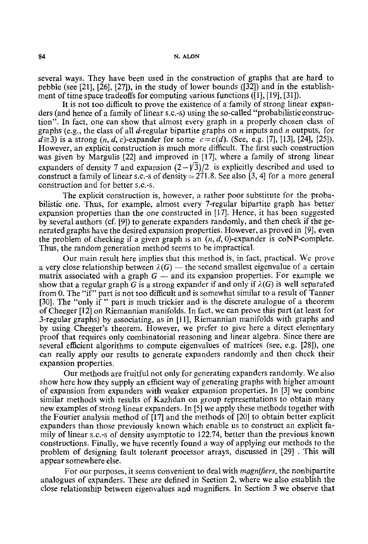several ways. They have been used in the construction of graphs that are hard to pebble (see [21], [26], [27]), in the study of lower bounds ([32]) and in the establishment of time space tradeoffs for computing various functions ([1], [19], [31]).

It is not too difficult to prove the existence of a family of strong linear expanders (and hence of a family of linear s.c.-s) using the so-called "probabilistic construction". In fact, one can show that almost every graph in a properly chosen class of graphs (e.g., the class of all d-regular bipartite graphs on n inputs and n outputs, for  $d \ge 3$ ) is a strong  $(n, d, c)$ -expander for some  $c = c(d)$ . (See, e.g. [7], [13], [24], [25]). However, an explicit construction is much more difficult. The first such construction was given by Margulis [22] and improved in [17], where a family of strong linear expanders of density 7 and expansion  $(2-\sqrt{3})/2$  is explicitly described and used to construct a family of linear s.c.-s of density  $\approx 271.8$ . See also [3, 4] for a more general construction and for better s.c.-s.

The explicit construction is, however, a rather poor substitute for the probabilistic one. Thus, for example, almost every 7-regular bipartite graph has better expansion properties than the one constructed in [17]. Hence, it has been suggested by several authors (cf. [9]) to generate expanders randomly, and then check if the generated graphs have the desired expansion properties. However, as proved in [9], even the problem of checking if a given graph is an  $(n, d, 0)$ -expander is coNP-complete. Thus, the random generation method seems to be impractical.

Our main result here implies that this method is, in fact, practical. We prove a very close relationship between  $\lambda(G)$  — the second smallest eigenvalue of a certain matrix associated with a graph  $G$  — and its expansion properties. For example we show that a regular graph G is a strong expander if and only if  $\lambda(G)$  is well separated from 0. The "if" part is not too difficult and is somewhat similar to a result of Tanner [30]. The "only if" part is much trickier and is the discrete analogue of a theorem of Cheeger [12] on Riemannian manifolds. In fact, we can prove this part (at least for 3-regular graphs) by associating, as in [11], Riemannian manifolds with graphs and by using Cheeger's theorem. However, we prefer to give here a direct elementary proof that requires only combinatorial reasoning and linear algebra. Since there are several efficient algorithms to compute eigenvalues of matrices (see, e.g. [28]), one can really apply our results to generate expanders randomly and then check their expansion properties.

Our methods are fruitful not only for generating expanders randomly. We also show here how they supply an efficient way of generating graphs with higher amount of expansion from expanders with weaker expansion properties. In [3] we combine similar methods with results of Kazhdan on group representations to obtain many new examples of strong linear expanders. In [5] we apply these methods together with the Fourier analysis method of [17] and the methods of [20] to obtain better explicit expanders than those previously known which enable us to construct an explicit family of linear s.c.-s of density asymptotic to 122.74, better than the previous known constructions. Finally, we have recently found a way of applying our methods to the problem of designing fault tolerant processor arrays, discussed in [29] . This will appear somewhere else.

For our purposes, it seems convenient to deal with *magnifiers,* the nonbipartite analogues of expanders. These are defined in Section 2, where we also establish the close relationship between eigenvalues and magnifiers. In Section 3 we observe that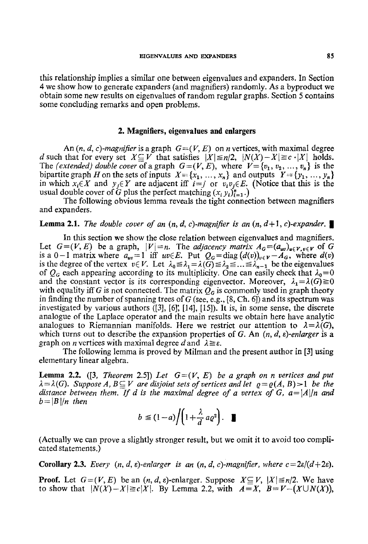this relationship implies a similar one between eigenvalues and expanders. In Section 4 we show how to generate expanders (and magnifiers) randomly. As a byproduct we obtain some new results on eigenvalues of random regular graphs. Section 5 contains some concluding remarks and open problems.

### **2. Magnifiers, eigenvalues and enlargers**

An  $(n, d, c)$ -magnifier is a graph  $G=(V, E)$  on n vertices, with maximal degree d such that for every set  $X \subseteq V$  that satisfies  $|X| \le n/2$ ,  $|N(X)-X| \ge c \cdot |X|$  holds. The *(extended) double cover* of a graph  $G = (V, E)$ , where  $V = \{v_1, v_2, ..., v_n\}$  is the bipartite graph H on the sets of inputs  $X = \{x_1, ..., x_n\}$  and outputs  $Y = \{y_1, ..., y_n\}$ in which  $x_i \in X$  and  $y_j \in Y$  are adjacent iff  $i=j$  or  $v_i v_j \in E$ . (Notice that this is the usual double cover of G plus the perfect matching  $(x_i, y_i)_{i=1}^n$ .)

The following obvious lemma reveals the tight connection between magnifiers and expanders.

## **Lemma 2.1.** *The double cover of an*  $(n, d, c)$ *-magnifier is an*  $(n, d+1, c)$ *-expander.*

In this section we show the close relation between eigenvalues and magnifiers. Let  $G=(V,E)$  be a graph,  $|V|=n$ . The *adjacency matrix*  $A_G=(a_{uv})_{u\in V, v\in V}$  of G is a 0-1 matrix where  $a_{uv}=1$  iff  $uv \in E$ . Put  $Q_G = \text{diag}(d(v))_{v \in V} - A_G$ , where  $d(v)$ is the degree of the vertex  $v \in V$ . Let  $\lambda_0 \leq \lambda_1 = \lambda(\overline{G}) \leq \lambda_2 \leq ... \leq \lambda_{n-1}$  be the eigenvalues of  $Q_G$  each appearing according to its multiplicity. One can easily check that  $\lambda_0=0$ and the constant vector is its corresponding eigenvector. Moreover,  $\lambda_1 = \lambda(G) \ge 0$ with equality iff G is not connected. The matrix  $Q_G$  is commonly used in graph theory in finding the number of spanning trees of  $G$  (see, e.g., [8, Ch. 6]) and its spectrum was investigated by various authors ([3], [6]; [14], [15]). It is, in some sense, the discrete analogue of the Laplace operator and the main results we obtain here have analytic analogues to Riemannian manifolds. Here we restrict our attention to  $\lambda = \lambda(G)$ , which turns out to describe the expansion properties of G. An *(n, d, s)-enlarger* is a graph on *n* vertices with maximal degree d and  $\lambda \geq \varepsilon$ .

The following lemma is proved by Milman and the present author in [3] using elementary linear algebra.

**Lemma 2.2.** ([3, *Theorem 2.5*]) Let  $G=(V, E)$  be a graph on n vertices and put  $\lambda = \lambda(G)$ . *Suppose A, B* $\subseteq$ *V are disjoint sets of vertices and let*  $\varrho = \varrho(A, B) > 1$  *be the distance between them. If d is the maximal degree of a vertex of G, a=|A||n and*  $b = |B|/n$  then

$$
b \leq (1-a) / \left(1 + \frac{\lambda}{d} a \varrho^2\right).
$$

(Actually we can prove a slightly stronger result, but we omit it to avoid too complicated statements.)

**Corollary 2.3.** *Every*  $(n, d, \varepsilon)$ -enlarger is an  $(n, d, c)$ -magnifier, where  $c = 2\varepsilon/(d+2\varepsilon)$ .

**Proof.** Let  $G=(V, E)$  be an  $(n, d, \varepsilon)$ -enlarger. Suppose  $X \subseteq V$ ,  $|X| \leq n/2$ . We have to show that  $|N(X)-X|\ge c|X|$ . By Lemma 2.2, with  $A=X$ ,  $B=V-(X\cup N(X))$ ,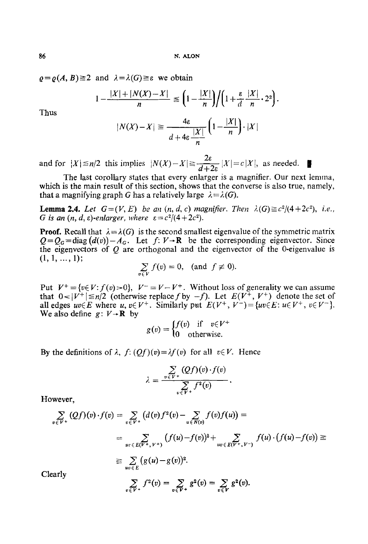$\varrho = \varrho(A, B) \ge 2$  and  $\lambda = \lambda(G) \ge \varepsilon$  we obtain

$$
1 - \frac{|X| + |N(X) - X|}{n} \le \left(1 - \frac{|X|}{n}\right) / \left(1 + \frac{\varepsilon}{d} \frac{|X|}{n} \cdot 2^2\right).
$$

Thus

$$
|N(X)-X| \ge \frac{4\varepsilon}{d+4\varepsilon} \frac{|X|}{n} \left(1 - \frac{|X|}{n}\right) \cdot |X|
$$

and for  $|X| \le n/2$  this implies  $|N(X)-X| \ge \frac{2\varepsilon}{d+2\varepsilon} |X|=c|X|$ , as needed.  $\blacksquare$ 

The last corollary states that every enlarger is a magnifier. Our next lemma, which is the main result of this section, shows that the converse is also true, namely, that a magnifying graph G has a relatively large  $\lambda = \lambda(G)$ .

**Lemma 2.4.** Let  $G=(V, E)$  be an  $(n, d, c)$  magnifier. Then  $\lambda(G) \ge c^2/(4+2c^2)$ , i.e., *G* is an  $(n, d, \varepsilon)$ -enlarger, where  $\varepsilon = c^2/(4+2c^2)$ .

**Proof.** Recall that  $\lambda = \lambda(G)$  is the second smallest eigenvalue of the symmetric matrix  $Q=Q_G=diag(d(v))-A_G$ . Let  $f: V \rightarrow \mathbb{R}$  be the corresponding eigenvector. Since the eigenvectors of  $Q$  are orthogonal and the eigenvector of the 0-eigenvalue is  $(1, 1, \ldots, 1);$ 

$$
\sum_{v \in V} f(v) = 0, \text{ (and } f \not\equiv 0).
$$

Put  $V^+ = \{v \in V : f(v) > 0\}$ ,  $V^- = V - V^+$ . Without loss of generality we can assume that  $0 < |V^+| \le n/2$  (otherwise replace f by  $-f$ ). Let  $E(V^+, V^+)$  denote the set of all edges  $uv \in E$  where  $u, v \in V^+$ . Similarly put  $E(V^+, V^-) = \{uv \in E : u \in V^+, v \in V^- \}.$ We also define  $g: V \rightarrow \mathbb{R}$  by

$$
g(v) = \begin{cases} f(v) & \text{if } v \in V^+ \\ 0 & \text{otherwise.} \end{cases}
$$

By the definitions of  $\lambda$ ,  $f: (Qf)(v) = \lambda f(v)$  for all  $v \in V$ . Hence

$$
\lambda = \frac{\sum\limits_{v \in V^+} (Qf)(v) \cdot f(v)}{\sum\limits_{v \in V^+} f^2(v)}
$$

However,

$$
\sum_{v \in V^{+}} (Qf)(v) \cdot f(v) = \sum_{v \in V^{+}} (d(v) f^{2}(v) - \sum_{u \in N(v)} f(v) f(u)) =
$$
\n
$$
= \sum_{uv \in E(V^{+}, V^{+})} (f(u) - f(v))^{2} + \sum_{uv \in E(V^{+}, V^{-})} f(u) \cdot (f(u) - f(v)) \ge
$$
\n
$$
\geq \sum_{uv \in E} (g(u) - g(v))^{2}.
$$
\n
$$
\sum_{v \in V^{+}} f^{2}(v) = \sum_{v \in V^{+}} g^{2}(v) = \sum_{v \in V} g^{2}(v).
$$

Cle

$$
f_{\rm{max}}
$$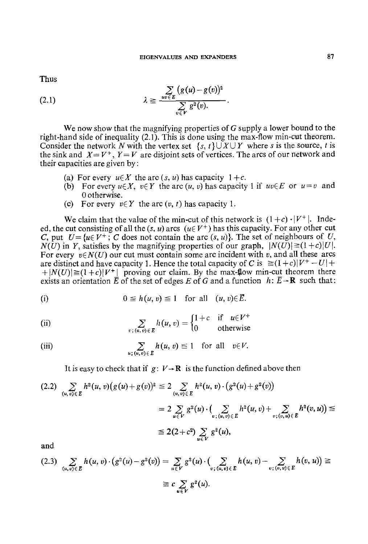Thus

(2.1) 
$$
\lambda \geq \frac{\sum\limits_{uv \in E} (g(u)-g(v))^2}{\sum\limits_{v \in V} g^2(v)}.
$$

We now show that the magnifying properties of  $G$  supply a lower bound to the right-hand side of inequality  $(2.1)$ . This is done using the max-flow min-cut theorem. Consider the network N with the vertex set  $\{s, t\} \cup X \cup Y$  where s is the source, t is the sink and  $X = V^+$ ,  $Y = V$  are disjoint sets of vertices. The arcs of our network and their capacities are given by :

- (a) For every  $u \in X$  the arc  $(s, u)$  has capacity  $1 + c$ .
- (b) For every  $u \in X$ ,  $v \in Y$  the arc  $(u, v)$  has capacity 1 if  $uv \in E$  or  $u = v$  and 0 otherwise.
- (c) For every  $v \in Y$  the arc  $(v, t)$  has capacity 1.

We claim that the value of the min-cut of this network is  $(1+c) \cdot |V^+|$ . Indeed, the cut consisting of all the  $(s, u)$  arcs  $(u \in V^+)$  has this capacity. For any other cut C, put  $U = \{u \in V^+ : C$  does not contain the arc  $(s, u)$ . The set of neighbours of U,  $N(U)$  in Y, satisfies by the magnifying properties of our graph,  $|N(U)| \geq (1+c)|U|$ . For every  $v \in N(U)$  our cut must contain some arc incident with v, and all these arcs are distinct and have capacity 1. Hence the total capacity of C is  $\geq (1+c)|V^+ - U| +$  $+|N(U)| \geq (1+c)|V^+|$  proving our claim. By the max-flow min-cut theorem there exists an orientation E of the set of edges E of G and a function  $h: E \rightarrow \mathbb{R}$  such that:

(i) 
$$
0 \leq h(u, v) \leq 1
$$
 for all  $(u, v) \in \overline{E}$ .

(ii) 
$$
\sum_{v; (u,v)\in E} h(u,v) = \begin{cases} 1+c & \text{if } u\in V^+ \\ 0 & \text{otherwise} \end{cases}
$$

(iii) 
$$
\sum_{u; (u,v)\in E} h(u,v) \leq 1 \text{ for all } v \in V.
$$

It is easy to check that if  $g: V \rightarrow \mathbb{R}$  is the function defined above then

$$
(2.2) \sum_{(u,v)\in E} h^{2}(u,v)(g(u)+g(v))^{2} \leq 2 \sum_{(u,v)\in E} h^{2}(u,v) \cdot (g^{2}(u)+g^{2}(v))
$$
  
=  $2 \sum_{u\in V} g^{2}(u) \cdot (\sum_{v;(u,v)\in E} h^{2}(u,v)+\sum_{v;(v,u)\in E} h^{2}(v,u)) \leq$   
 $\leq 2(2+c^{2}) \sum_{u\in V} g^{2}(u),$ 

and

$$
(2.3) \sum_{(u,v)\in E} h(u,v) \cdot (g^2(u) - g^2(v)) = \sum_{u \in V} g^2(u) \cdot (\sum_{v; (u,v)\in E} h(u,v) - \sum_{v; (v,u)\in E} h(v,u)) \ge
$$
  
 
$$
\ge c \sum_{u \in V} g^2(u).
$$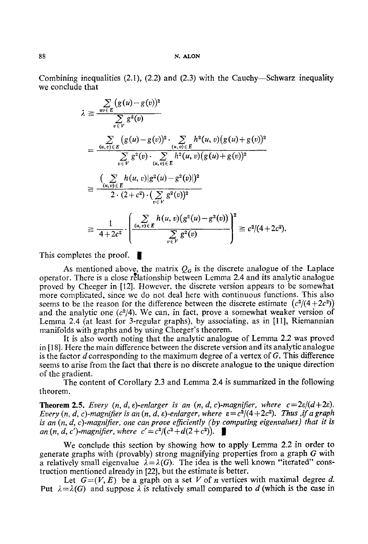Combining inequalities (2.1), (2.2) and (2.3) with the Cauchy--Schwarz inequality we conclude that

$$
\lambda \geq \frac{\sum\limits_{uv \in E} (g(u)-g(v))^2}{\sum\limits_{v \in V} g^2(v)}
$$
\n
$$
= \frac{\sum\limits_{(u,v) \in E} (g(u)-g(v))^2 \cdot \sum\limits_{(u,v) \in E} h^2(u,v)(g(u)+g(v))^2}{\sum\limits_{v \in V} g^2(v) \cdot \sum\limits_{(u,v) \in E} h^2(u,v)(g(u)+g(v))^2}
$$
\n
$$
\geq \frac{(\sum\limits_{(u,v) \in E} h(u,v)|g^2(u)-g^2(v)|)^2}{2 \cdot (2+c^2) \cdot (\sum\limits_{v \in V} g^2(v))^2}
$$
\n
$$
\geq \frac{1}{4+2c^2} \cdot \left(\frac{\sum\limits_{(u,v) \in E} h(u,v)(g^2(u)-g^2(v))}{\sum\limits_{v \in V} g^2(v)}\right)^2 \geq c^2/(4+2c^2).
$$

This completes the proof.  $\blacksquare$ 

As mentioned above, the matrix  $Q<sub>G</sub>$  is the discrete analogue of the Laplace operator. There is a close relationship between Lemma 2.4 and its analytic analogue proved by Cheeger in [12]. However. the discrete version appears to be somewhat more complicated, since we do not deal here with continuous functions. This also seems to be the reason for the difference between the discrete estimate  $(c^2/(4+2c^2))$ and the analytic one  $(c^2/4)$ . We can, in fact, prove a somewhat weaker version of Lemma 2.4 (at least for 3-regular graphs), by associating, as in [11], Riemannian manifolds with graphs and by using Cheeger's theorem.

It is also worth noting that the analytic analogue of Lemma 2.2 was proved in [18]. Here the main difference between the discrete version and its analytic analogue is the factor  $d$  corresponding to the maximum degree of a vertex of  $G$ . This difference seems to arise from the fact that there is no discrete analogue to the unique direction of the gradient.

The content of Corollary 2.3 and Lemma 2.4 is summarized in the following theorem.

**Theorem 2.5.** *Every*  $(n, d, \varepsilon)$ -enlarger is an  $(n, d, c)$ -magnifier, where  $c = 2\varepsilon/(d+2\varepsilon)$ . *Every (n, d, c)-magnifier is an (n, d,*  $\varepsilon$ *)-enlarger, where*  $\varepsilon = c^2/(4+2c^2)$ . *Thus ,if a graph is an*  $(n, d, c)$ -magnifier, one can prove efficiently (by computing eigenvalues) that it is *an*  $(n, d, c')$ -magnifier, where  $c' = c^2/(c^2 + d(2 + c^2))$ .  $\blacksquare$ 

We conclude this section by showing how to apply Lemma 2.2 in order to generate graphs with (provably) strong magnifying properties from a graph G with a relatively small eigenvalue  $\lambda = \lambda(G)$ . The idea is the well known "iterated" construction mentioned already in [22], but the estimate is better.

Let  $G=(V, E)$  be a graph on a set V of *n* vertices with maximal degree d. Put  $\lambda = \lambda(G)$  and suppose  $\lambda$  is relatively small compared to d (which is the case in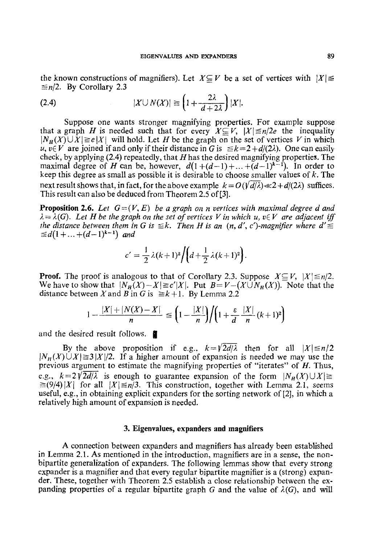the known constructions of magnifiers). Let  $X \subseteq V$  be a set of vertices with  $|X| \leq$  $\leq n/2$ . By Corollary 2.3

(2.4) 
$$
|X \cup N(X)| \geq \left(1 + \frac{2\lambda}{d + 2\lambda}\right)|X|.
$$

Suppose one wants stronger magnifying properties. For example suppose that a graph *H* is needed such that for every  $X \subseteq V$ ,  $|X| \le n/2e$  the inequality  $|N_H(X) \cup X| \ge e|X|$  will hold. Let H be the graph on the set of vertices V in which u,  $v \in V$  are joined if and only if their distance in G is  $\leq k = 2 + d/(2\lambda)$ . One can easily check, by applying  $(2.4)$  repeatedly, that H has the desired magnifying properties. The maximal degree of H can be, however,  $d(1+(d-1)+...+(d-1)^{k-1})$ . In order to keep this degree as small as possible it is desirable to choose smaller values of  $k$ . The next result shows that, in fact, for the above example  $k = O(\sqrt{d/\lambda}) \ll 2 + d/(2\lambda)$  suffices. This result can also be deduced from Theorem 2.5 of[3].

**Proposition 2.6.** Let  $G=(V, E)$  be a graph on *n* vertices with maximal degree d and  $\lambda = \lambda(G)$ . Let H be the graph on the set of vertices V in which u,  $v \in V$  are adjacent iff *the distance between them in G is*  $\leq k$ *. Then H is an (n, d', c')-magnifier where d'*  $\leq d(1 + ... + (d-1)^{k-1})$  and

$$
c'=\frac{1}{2}\lambda(k+1)^2\bigg/\bigg(d+\frac{1}{2}\lambda(k+1)^2\bigg).
$$

**Proof.** The proof is analogous to that of Corollary 2.3. Suppose  $X \subseteq V$ ,  $|X| \le n/2$ . We have to show that  $|N_n(X)-X|\geq c'|X|$ . Put  $B=V-(X\hat{\cup}N_n(X))$ . Note that the distance between X and B in G is  $\ge k+1$ . By Lemma 2.2

$$
1 - \frac{|X| + |N(X) - X|}{n} \le \left(1 - \frac{|X|}{n}\right) / \left(1 + \frac{\varepsilon}{d} \frac{|X|}{n} (k+1)^2\right)
$$

and the desired result follows.  $\blacksquare$ 

By the above proposition if e.g.,  $k=\sqrt{2d/\lambda}$  then for all  $|X|\leq n/2$  $|N_H(X) \cup X| \ge 3 |X|/2$ . If a higher amount of expansion is needed we may use the previous argument to estimate the magnifying properties of "iterates" of H. Thus, e.g.,  $k=2\sqrt{2d/\lambda}$  is enough to guarantee expansion of the form  $|N_H(X) \cup X| \ge$  $\geq (9/4)|X|$  for all  $|X|\leq n/3$ . This construction, together with Lemma 2.1, seems useful, e.g., in obtaining explicit expanders for the sorting network of [2], in which a relatively high amount of expansion is needed.

#### **3. Eigenvalues, expanders and magnifiers**

A connection between expanders and magnifiers has already been established in Lemma 2.1. As mentioned in the introduction, magnifiers are in a sense, the nonbipartite generalization of expanders. The following lemmas show that every strong expander is a magnifier and that every regular bipartite magnifier is a (strong) expander. These, together with Theorem 2.5 establish a close relationship between the expanding properties of a regular bipartite graph G and the value of  $\lambda(G)$ , and will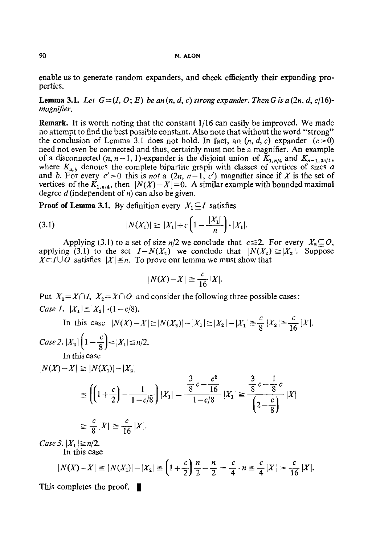#### **90 N. ALON**

enable us to generate random expanders, and check efficiently their expanding properties.

**Lemma 3.1.** Let  $G=(I, O; E)$  be an  $(n, d, c)$  strong expander. Then G is a  $(2n, d, c/16)$ *magnifier.* 

Remark. It is worth noting that the constant 1/16 can easily be improved. We made no attempt to find the best possible constant. Also note that without the word "strong" the conclusion of Lemma 3.1 does not hold. In fact, an  $(n, d, c)$  expander  $(c>0)$ need not even be connected and thus, certainly must not be a magnifier. An example of a disconnected  $(n, n-1, 1)$ -expander is the disjoint union of  $K_{1,n/4}$  and  $K_{n-1,3n/4}$ , where  $K_{a,b}$  denotes the complete bipartite graph with classes of vertices of sizes a and b. For every  $c' > 0$  this is *not* a  $(2n, n-1, c')$  magnifier since if X is the set of vertices of the  $K_{1,n/4}$ , then  $|N(X)-X|=0$ . A similar example with bounded maximal degree d(independent of  $n$ ) can also be given.

**Proof of Lemma 3.1.** By definition every  $X_1 \subseteq I$  satisfies

(3.1) 
$$
|N(X_1)| \geq |X_1| + c \left(1 - \frac{|X_1|}{n}\right) \cdot |X_1|.
$$

Applying (3.1) to a set of size  $n/2$  we conclude that  $c \le 2$ . For every  $X_2 \subseteq O$ , applying (3.1) to the set  $I-N(X_2)$  we conclude that  $|N(X_2)| \geq |X_2|$ . Suppose  $X\subset I\cup O$  satisfies  $|X|\leq n$ . To prove our lemma we must show that

$$
|N(X)-X| \geq \frac{c}{16}|X|.
$$

Put  $X_1 = X \cap I$ ,  $X_2 = X \cap O$  and consider the following three possible cases: *Case 1.*  $|X_1| \leq |X_2| \cdot (1-c/8)$ .

In this case  $|N(X) - X| \ge |N(X_2)| - |X_1| \ge |X_2| - |X_1| \ge \frac{c}{8} |X_2| \ge \frac{c}{16} |X|.$ 

*Case 2.*  $|X_2| \left(1 - \frac{c}{8}\right) < |X_1| \leq n/2$ . In this case

$$
|N(X) - X| \ge |N(X_1)| - |X_2|
$$
  
\n
$$
\ge \left( \left( 1 + \frac{c}{2} \right) - \frac{1}{1 - c/8} \right) |X_1| = \frac{\frac{3}{8}c - \frac{c^2}{16}}{1 - c/8} |X_1| \ge \frac{\frac{3}{8}c - \frac{1}{8}c}{\left( 2 - \frac{c}{8} \right)} |X|
$$
  
\n
$$
\ge \frac{c}{8} |X| \ge \frac{c}{16} |X|.
$$

*Case 3.*  $|X_1| \ge n/2$ . In this case

$$
|N(X)-X| \ge |N(X_1)|-|X_2| \ge \left(1+\frac{c}{2}\right)\frac{n}{2}-\frac{n}{2}=\frac{c}{4}\cdot n \ge \frac{c}{4}|X|>\frac{c}{16}|X|.
$$

This completes the proof.  $\blacksquare$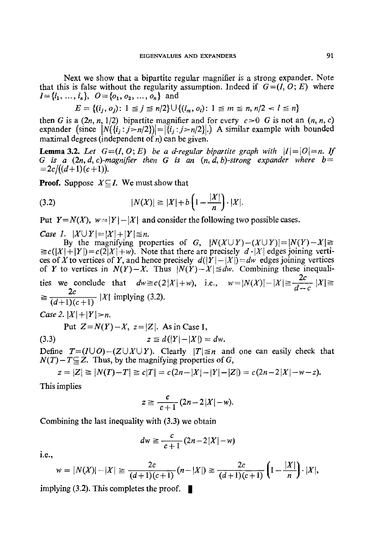Next we show that a bipartite regular magnifier is a strong expander. Note that this is false without the regularity assumption. Indeed if  $G=(I, O; E)$  where  $I = \{i_1, ..., i_n\}, \ \ O = \{o_1, o_2, ..., o_n\}$  and

$$
E = \{(i_j, o_j): 1 \leq j \leq n/2\} \cup \{(i_m, o_i): 1 \leq m \leq n, n/2 < l \leq n\}
$$

then G is a  $(2n, n, 1/2)$  bipartite magnifier and for every  $c > 0$  G is not an  $(n, n, c)$ expander (since  $|N(\{i_j : j > n/2\})| = |\{i_j : j > n/2\}|$ .) A similar example with bounded maximal degrees (independent of  $n$ ) can be given.

**Lemma 3.2.** Let  $G=(I, O; E)$  be a d-regular bipartite graph with  $|I|=|O|=n$ . If *G* is a  $(2n, d, c)$ -magnifier then *G* is an  $(n, d, b)$ -strong expander where  $b=$  $= 2c/((d+1)(c+1)).$ 

**Proof.** Suppose  $X \subseteq I$ . We must show that

(3.2) 
$$
|N(X)| \ge |X| + b\left(1 - \frac{|X|}{n}\right) \cdot |X|.
$$

Put  $Y = N(X)$ ,  $w = |Y| - |X|$  and consider the following two possible cases.

*Case 1.*  $|X \cup Y| = |X| + |Y| \leq n$ .

By the magnifying properties of *G*,  $|N(X \cup Y) - (X \cup Y)| = |N(Y) - X| \ge$  $\geq c(|X|+|Y|)=c(2|X|+w)$ . Note that there are precisely  $d \cdot |X|$  edges joining vertices of X to vertices of Y, and hence precisely  $d(|Y| - |X|) = dw$  edges joining vertices of Y to vertices in  $N(Y)-X$ . Thus  $|N(Y)-X| \leq dw$ . Combining these inequalities we conclude that  $dw \ge c(2|X|+w)$ , i.e.,  $w=|N(X)|-|X| \ge \frac{2c}{d-c} |X| \ge$ *2c*   $\geq$   $\frac{d+1}{(d+1)(c+1)}$   $|X|$  implying (3.2). *Case 2.*  $|X| + |Y| > n$ . Put  $Z=N(Y)-X$ ,  $z=|Z|$ . As in Case 1, (3.3)  $z \leq d(|Y|-|X|) = dw.$ 

*Define T=(IUO)-(ZUXUY).* Clearly  $|T| \leq n$  and one can easily check that  $N(T) - T \subseteq Z$ . Thus, by the magnifying properties of G,

$$
z = |Z| \ge |N(T) - T| \ge c|T| = c(2n - |X| - |Y| - |Z|) = c(2n - 2|X| - w - z).
$$

This implies

$$
z \geq \frac{c}{c+1}(2n-2|X|-w).
$$

Combining the last inequality with (3.3) we obtain

$$
dw \geq \frac{c}{c+1}(2n-2|X|-\omega)
$$

i.e.,

$$
w = |N(X)| - |X| \ge \frac{2c}{(d+1)(c+1)}(n-|X|) \ge \frac{2c}{(d+1)(c+1)}\left(1-\frac{|X|}{n}\right)\cdot |X|,
$$

implying (3.2). This completes the proof.  $\blacksquare$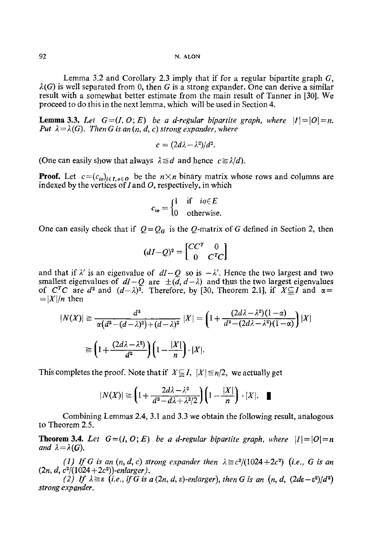Lemma 3.2 and Corollary 2.3 imply that if for a regular bipartite graph  $G$ ,  $\lambda(G)$  is well separated from 0, then G is a strong expander. One can derive a similar result with a somewhat better estimate from the main result of Tanner in [30]. We proceed to do this in the next lemma, which will be used in Section 4.

**Lemma 3.3.** Let  $G=(I, O; E)$  be a d-regular bipartite graph, where  $|I|=|O|=n$ . *Put*  $\lambda = \lambda(G)$ . Then G is an  $(n, d, c)$  strong expander, where

$$
c=(2d\lambda-\lambda^2)/d^2.
$$

(One can easily show that always  $\lambda \leq d$  and hence  $c \geq \lambda/d$ ).

**Proof.** Let  $c=(c_{io})_{i\in I, o\in O}$  be the  $n\times n$  binary matrix whose rows and columns are indexed by the vertices of I and  $O$ , respectively, in which

$$
c_{i\mathbf{0}} = \begin{cases} 1 & \text{if } i\mathbf{0} \in E \\ 0 & \text{otherwise.} \end{cases}
$$

One can easily check that if  $Q = Q<sub>G</sub>$  is the Q-matrix of G defined in Section 2, then

$$
(dI-Q)^2 = \begin{bmatrix} CC^T & 0 \\ 0 & C^TC \end{bmatrix}
$$

and that if  $\lambda'$  is an eigenvalue of  $dI - Q$  so is  $-\lambda'$ . Hence the two largest and two smallest eigenvalues of  $dI-Q$  are  $\pm(\tilde{d}, d-\lambda)$  and thus the two largest eigenvalues of *C<sup>T</sup>C* are  $d^2$  and  $(d-\lambda)^2$ . Therefore, by [30, Theorem 2.1], if  $X \subseteq I$  and  $\alpha =$  $= |X|/n$  then

$$
|N(X)| \ge \frac{d^2}{\alpha(d^2 - (d - \lambda)^2) + (d - \lambda)^2} |X| = \left(1 + \frac{(2d\lambda - \lambda^2)(1 - \alpha)}{d^2 - (2d\lambda - \lambda^2)(1 - \alpha)}\right)|X|
$$

$$
\ge \left(1 + \frac{(2d\lambda - \lambda^2)}{d^2}\right)\left(1 - \frac{|X|}{n}\right) \cdot |X|.
$$

This completes the proof. Note that if  $X \subseteq I$ ,  $|X| \le n/2$ , we actually get

$$
|N(X)| \geq \left(1 + \frac{2d\lambda - \lambda^2}{d^2 - d\lambda + \lambda^2/2}\right)\left(1 - \frac{|X|}{n}\right) \cdot |X|. \quad \blacksquare
$$

Combining Lemmas 2.4, 3.1 and 3.3 we obtain the following result, analogous to Theorem 2.5.

**Theorem 3.4.** *Let*  $G=(I, O; E)$  *be a d-regular bipartite graph, where*  $|I|=|O|=n$ *and*  $\lambda = \lambda(G)$ .

*(1) If G is an*  $(n, d, c)$  *strong expander then*  $\lambda \geq c^2/(1024+2c^2)$  *(i.e., G is an*  $(2n, d, c^2/(1024+2c^2))$ -enlarger).

*(2)* If  $\lambda \geq \varepsilon$  (i.e., if G is a  $(2n, d, \varepsilon)$ -enlarger), then G is an  $(n, d, (2d\varepsilon - \varepsilon^2)/d^2)$ *strong expander.*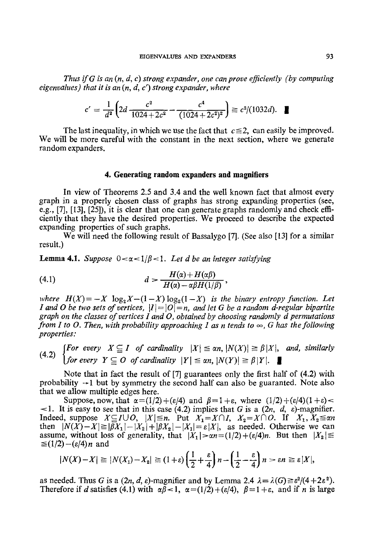*Thus if G is an* (n, *d, c) strong expander, one can prove efficiently (by computing eigenvalues) that it is an* (n, *d, c') strong expander, where* 

$$
c' = \frac{1}{d^2} \left( 2d \frac{c^2}{1024 + 2c^2} - \frac{c^4}{(1024 + 2c^2)^2} \right) \ge c^2/(1032d). \quad \blacksquare
$$

The last inequality, in which we use the fact that  $c \le 2$ , can easily be improved. We will be more careful with the constant in the next section, where we generate random expanders.

# **4. Generating random expanders and magnifiers**

In view of Theorems 2.5 and 3.4 and the well known fact that almost every graph in a properly chosen class of graphs has strong expanding properties (see, e.g., [7], [13], [25]), it is clear that one can generate graphs randomly and check efficiently that they have the desired properties. We proceed to describe the expected expanding properties of such graphs.

We will need the following result of Bassalygo [7]. (See also [13] for a similar result.)

**Lemma 4.1.** *Suppose*  $0 < \alpha < 1/\beta < 1$ . Let d be an integer satisfying

(4.1) 
$$
d > \frac{H(\alpha) + H(\alpha\beta)}{H(\alpha) - \alpha\beta H(1/\beta)},
$$

*where*  $H(X) = -X \log_2 X - (1-X) \log_2 (1-X)$  *is the binary entropy function. Let I* and *O* be two sets of vertices,  $|I| = |O| = n$ , and let *G* be a random d-regular bipartite *graph on the classes of vertices I and O, obtained by choosing randomly d permutations from I to O. Then, with probability approaching 1 as n tends to*  $\infty$ , G has the following *properties:* 

*[For every*  $X \subseteq I$  *of cardinality*  $|X| \leq \alpha n$ ,  $|N(X)| \geq \beta |X|$ , *and, similarly (a.2) for every*  $Y \subseteq O$  *of cardinality*  $|Y| \le \alpha n$ ,  $|N(Y)| \ge \beta |Y|$ .

Note that in fact the result of [7] guarantees only the first half of (4.2) with probability  $\rightarrow$ 1 but by symmetry the second half can also be guaranted. Note also that we allow multiple edges here.

Suppose, now, that  $\alpha = (1/2) + (\varepsilon/4)$  and  $\beta = 1 + \varepsilon$ , where  $(1/2) + (\varepsilon/4)(1 + \varepsilon) <$  $\leq$ 1. It is easy to see that in this case (4.2) implies that G is a (2n, d, e)-magnifier. Indeed, suppose  $X \subseteq I \cup O$ ,  $|X| \leq n$ . Put  $X_1 = X \cap I$ ,  $X_2 = X \cap O$ . If  $X_1, X_2 \leq \alpha n$ then  $|N(X)-X| \ge |\overline{\beta}X_1| - |X_2| + |\beta X_2| - |X_1| = \varepsilon |X|$ , as needed. Otherwise we can assume, without loss of generality, that  $|X_1| > \alpha n = (1/2) + (\varepsilon/4)n$ . But then  $|X_2| \le$  $\leq (1/2)-(\varepsilon/4)n$  and

$$
|N(X)-X| \geq |N(X_1)-X_2| \geq (1+\varepsilon)\left(\frac{1}{2}+\frac{\varepsilon}{4}\right)n - \left(\frac{1}{2}-\frac{\varepsilon}{4}\right)n > \varepsilon n \geq \varepsilon |X|,
$$

as needed. Thus G is a  $(2n, d, \varepsilon)$ -magnifier and by Lemma 2.4  $\lambda = \lambda(G) \ge \varepsilon^2/(4+2\varepsilon^2)$ . Therefore if d satisfies (4.1) with  $\alpha\beta < 1$ ,  $\alpha = (1/2) + (\varepsilon/4)$ ,  $\beta = 1 + \varepsilon$ , and if n is large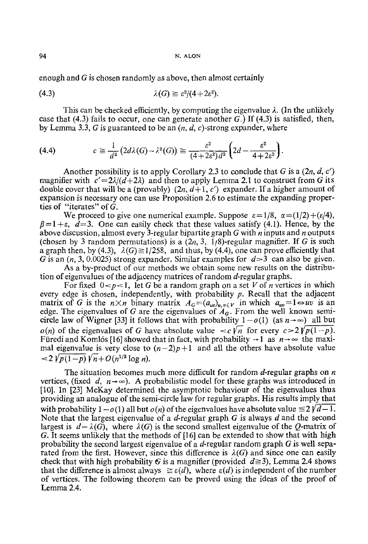94 N. ALON

enough and G is chosen randomly as above, then almost certainly

$$
\lambda(G) \geq \varepsilon^2/(4+2\varepsilon^2).
$$

This can be checked efficiently, by computing the eigenvalue  $\lambda$ . (In the unlikely case that (4.3) fails to occur, one can generate another G.) If (4.3) is satisfied, then, by Lemma 3.3, G is guaranteed to be an  $(n, d, c)$ -strong expander, where

$$
(4.4) \t\t c \geq \frac{1}{d^2} \left( 2d\lambda(G) - \lambda^2(G) \right) \geq \frac{\varepsilon^2}{(4 + 2\varepsilon^2) d^2} \left( 2d - \frac{\varepsilon^2}{4 + 2\varepsilon^2} \right).
$$

Another possibility is to apply Corollary 2.3 to conclude that G is a  $(2n, d, c')$ magnifier with  $c' = 2\lambda/(d+2\lambda)$  and then to apply Lemma 2.1 to construct from G its double cover that will be a (provably)  $(2n, d+1, c')$  expander. If a higher amount of expansion is necessary one can use Proposition 2.6 to estimate the expanding properties of "iterates" of G.

We proceed to give one numerical example. Suppose  $\varepsilon = 1/8$ ,  $\alpha = (1/2) + (\varepsilon/4)$ ,  $\beta=1+\varepsilon$ ,  $d=3$ . One can easily check that these values satisfy (4.1). Hence, by the above discussion, almost every 3-regular bipartite graph G with  $n$  inputs and  $n$  outputs (chosen by 3 random permutations) is a  $(2n, 3, 1/8)$ -regular magnifier. If G is such a graph then, by (4.3),  $\lambda(G) \geq 1/258$ , and thus, by (4.4), one can prove efficiently that G is an  $(n, 3, 0.0025)$  strong expander. Similar examples for  $d > 3$  can also be given.

As a by-product of our methods we obtain some new results on the distribution of eigenvalues of the adjacency matrices of random d-regular graphs.

For fixed  $0 < p < 1$ , let G be a random graph on a set V of *n* vertices in which every edge is chosen, independently, with probability  $p$ . Recall that the adjacent matrix of G is the  $n \times n$  binary matrix  $A_G = (a_{uv})_{u,v \in V}$  in which  $a_{uv} = 1 \Leftrightarrow uv$  is an edge. The eigenvalues of G are the eigenvalues of  $A<sub>G</sub>$ . From the well known semicircle law of Wigner [33] it follows that with probability  $1-o(1)$  (as  $n\rightarrow\infty$ ) all but  $o(n)$  of the eigenvalues of G have absolute value  $\langle c \rangle / n$  for every  $c > 2\gamma / p(1-p)$ . Füredi and Komlós [16] showed that in fact, with probability  $\rightarrow$  1 as  $n \rightarrow \infty$  the maximal eigenvalue is very close to  $(n-2)p+1$  and all the others have absolute value  $\lt 2 \sqrt{p(1-p)} \sqrt{n} + O(n^{1/3} \log n).$ 

The situation becomes much more difficult for random  $d$ -regular graphs on n vertices, (fixed d,  $n \rightarrow \infty$ ). A probabilistic model for these graphs was introduced in [10]. In [23] McKay determined the asymptotic behaviour of the eigenvalues thus providing an analogue of the semi-circle law for regular graphs. His results imply that with probability  $1-o(1)$  all but  $o(n)$  of the eigenvalues have absolute value  $\leq 2 \gamma d - 1$ . Note that the largest eigenvalue of a *d*-regular graph  $G$  is always  $d$  and the second largest is  $d - \lambda(G)$ , where  $\lambda(G)$  is the second smallest eigenvalue of the Q-matrix of G. It seems unlikely that the methods of [16] can be extended to show that with high probability the second largest eigenvalue of a  $d$ -regular random graph  $G$  is well separated from the first. However, since this difference is  $\lambda(G)$  and since one can easily check that with high probability G is a magnifier (provided  $d \ge 3$ ), Lemma 2.4 shows that the difference is almost always  $\geq \varepsilon(d)$ , where  $\varepsilon(d)$  is independent of the number of vertices. The following theorem can be proved using the ideas of the proof of Lemma 2.4,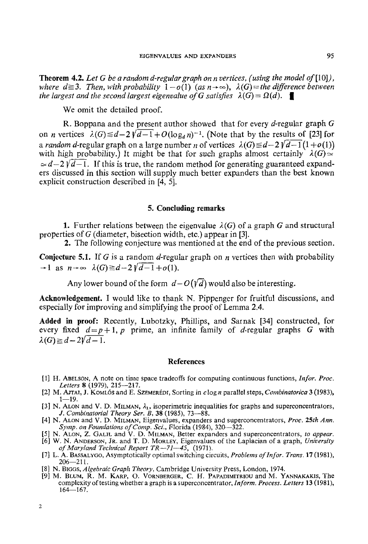**Theorem** 4.2. *Let G be a random d-regular graph on n vertices, (using the model of* [10]), *where d* $\geq$ 3. *Then, with probability*  $1 - o(1)$  (as  $n \rightarrow \infty$ ),  $\lambda(G)$  = the difference between *the largest and the second largest eigenvalue of G satisfies*  $\lambda(G) = \Omega(d)$ .

We omit the detailed proof.

R. Boppana and the present author showed that for every  $d$ -regular graph  $G$ on *n* vertices  $\lambda(G) \leq d - 2\sqrt{d-1} + O(\log_d n)^{-1}$ . (Note that by the results of [23] for *a random d*-regular graph on a large number *n* of vertices  $\lambda(G) \leq d - 2\sqrt{d-1}(1 + o(1))$ with high probability.) It might be that for such graphs almost certainly  $\lambda(G) \simeq$  $\approx$  d-2  $\sqrt{d-1}$ . If this is true, the random method for generating guaranteed expanders discussed in this section will supply much better expanders than the best known explicit construction described in [4, 5].

# **5. Concluding remarks**

1. Further relations between the eigenvalue  $\lambda(G)$  of a graph G and structural properties of G (diameter, bisection width, etc.) appear in [3].

2. The following conjecture was mentioned at the end of the previous section.

**Conjecture 5.1.** If G is a random d-regular graph on *n* vertices then with probability  $\rightarrow$ 1 as  $n \rightarrow \infty$   $\lambda(G) \geq d-2\sqrt{d-1}+o(1)$ .

Any lower bound of the form  $d - O(\sqrt{d})$  would also be interesting.

**Acknowledgement.** I would like to thank N. Pippenger for fruitful discussions, and especially for improving and simplifying the proof of Lemma 2.4.

**Added in proof:** Recently, Lubotzky, Phillips, and Sarnak [34] constructed, for every fixed  $d=p+1$ , p prime, an infinite family of d-regular graphs G with  $\lambda(G) \geq d - 2\sqrt{d-1}.$ 

### **References**

- [1] H. ABELSON, A note on time space tradeoffs for computing continuous functions, *Infor. Proc. Letters* 8 (1979), 215--217.
- [2] M. A.rrAL J. KOMLbS and E. SZEMER~Dt, Sorting in clog n parallel steps, *Combinatorica* 3 (1983),  $1 - 19$ .
- [3] N. ALON and V. D. MILMAN,  $\lambda_1$ , isoperimetric inequalities for graphs and superconcentrators, *J. Combinatorial Tlwory Set. B,* 38 (1985), 73--88.
- [4] N. ALON and V. D. MILMAN, Eigenvalues, expanders and superconcentrators, *Proc. 25th Ann. Syrup. on Foundations of Comp. Sci.,* Florida (1984), 320--322.
- [5] N. ALON, Z. GALIL and V. D. MILMAN, Better expanders and superconcentrators, *to appear.*
- [6] W. N. ANDERSON, JR. and T. D. MORLEY, Eigenvalues of the Laplacian of a graph, *University of Maryland Technical Report TR--71--45,* (1971).
- [7] L. A. BASSALYGO, Asymptotically optimal switching circuits, *Problems of In for. Trans.* 17 (1981),  $206 - 211$ .
- [8] N. BtGGS, *Algebraic Graph Theopy,* Cambridge University Press, London, 1974.
- [9] M. BLUM, R. M. KARP, O. VORNBERGER, C. H. PAPADIMITRIOU and M. YANNAKAKIS, The complexity of testing whether a graph is a superconcentrator, *InJbrm. Process. Letters* 13 (1981),  $164 - 167.$